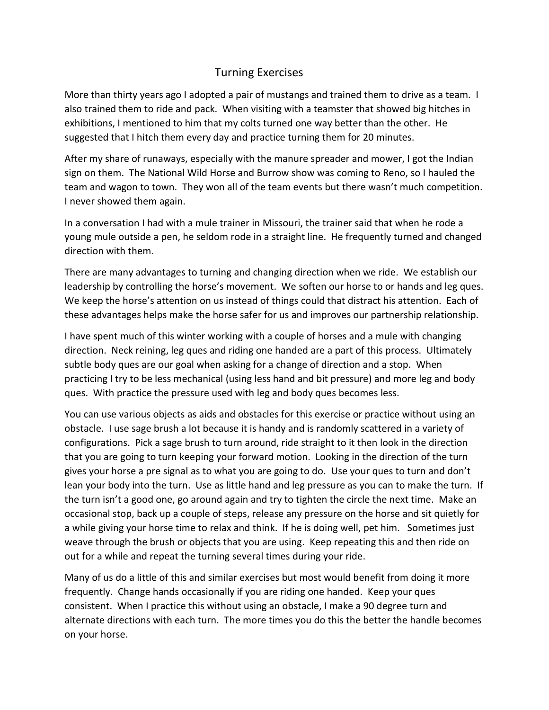## Turning Exercises

More than thirty years ago I adopted a pair of mustangs and trained them to drive as a team. I also trained them to ride and pack. When visiting with a teamster that showed big hitches in exhibitions, I mentioned to him that my colts turned one way better than the other. He suggested that I hitch them every day and practice turning them for 20 minutes.

After my share of runaways, especially with the manure spreader and mower, I got the Indian sign on them. The National Wild Horse and Burrow show was coming to Reno, so I hauled the team and wagon to town. They won all of the team events but there wasn't much competition. I never showed them again.

In a conversation I had with a mule trainer in Missouri, the trainer said that when he rode a young mule outside a pen, he seldom rode in a straight line. He frequently turned and changed direction with them.

There are many advantages to turning and changing direction when we ride. We establish our leadership by controlling the horse's movement. We soften our horse to or hands and leg ques. We keep the horse's attention on us instead of things could that distract his attention. Each of these advantages helps make the horse safer for us and improves our partnership relationship.

I have spent much of this winter working with a couple of horses and a mule with changing direction. Neck reining, leg ques and riding one handed are a part of this process. Ultimately subtle body ques are our goal when asking for a change of direction and a stop. When practicing I try to be less mechanical (using less hand and bit pressure) and more leg and body ques. With practice the pressure used with leg and body ques becomes less.

You can use various objects as aids and obstacles for this exercise or practice without using an obstacle. I use sage brush a lot because it is handy and is randomly scattered in a variety of configurations. Pick a sage brush to turn around, ride straight to it then look in the direction that you are going to turn keeping your forward motion. Looking in the direction of the turn gives your horse a pre signal as to what you are going to do. Use your ques to turn and don't lean your body into the turn. Use as little hand and leg pressure as you can to make the turn. If the turn isn't a good one, go around again and try to tighten the circle the next time. Make an occasional stop, back up a couple of steps, release any pressure on the horse and sit quietly for a while giving your horse time to relax and think. If he is doing well, pet him. Sometimes just weave through the brush or objects that you are using. Keep repeating this and then ride on out for a while and repeat the turning several times during your ride.

Many of us do a little of this and similar exercises but most would benefit from doing it more frequently. Change hands occasionally if you are riding one handed. Keep your ques consistent. When I practice this without using an obstacle, I make a 90 degree turn and alternate directions with each turn. The more times you do this the better the handle becomes on your horse.